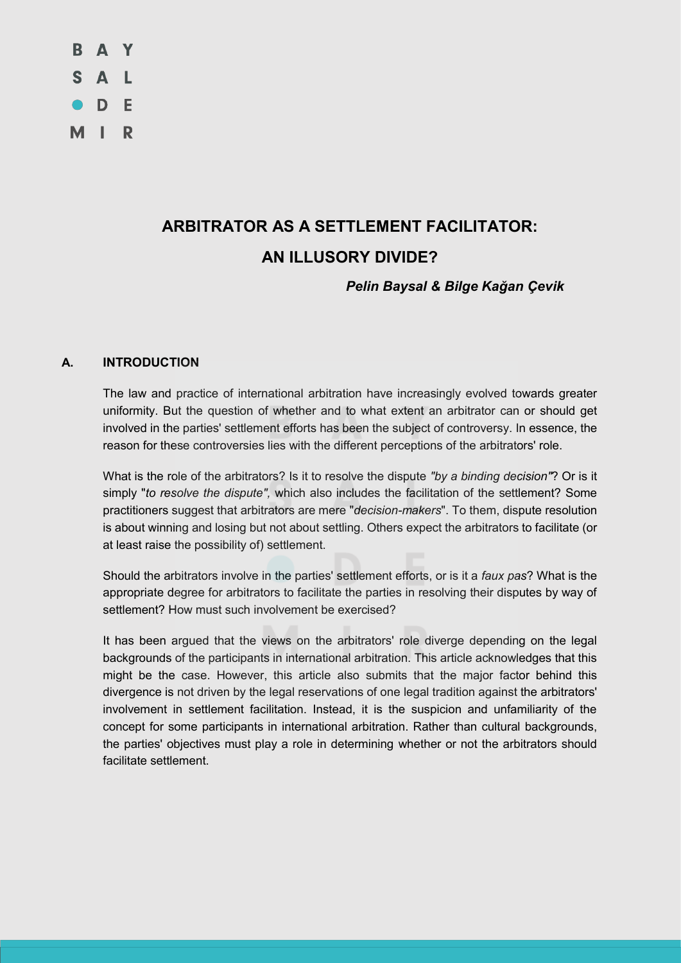

# **ARBITRATOR AS A SETTLEMENT FACILITATOR: AN ILLUSORY DIVIDE?**

*Pelin Baysal & Bilge Kağan Çevik*

# **A. INTRODUCTION**

The law and practice of international arbitration have increasingly evolved towards greater uniformity. But the question of whether and to what extent an arbitrator can or should get involved in the parties' settlement efforts has been the subject of controversy. In essence, the reason for these controversies lies with the different perceptions of the arbitrators' role.

What is the role of the arbitrators? Is it to resolve the dispute *"by a binding decision"*? Or is it simply "*to resolve the dispute",* which also includes the facilitation of the settlement? Some practitioners suggest that arbitrators are mere "*decision-makers*". To them, dispute resolution is about winning and losing but not about settling. Others expect the arbitrators to facilitate (or at least raise the possibility of) settlement.

Should the arbitrators involve in the parties' settlement efforts, or is it a *faux pas*? What is the appropriate degree for arbitrators to facilitate the parties in resolving their disputes by way of settlement? How must such involvement be exercised?

It has been argued that the views on the arbitrators' role diverge depending on the legal backgrounds of the participants in international arbitration. This article acknowledges that this might be the case. However, this article also submits that the major factor behind this divergence is not driven by the legal reservations of one legal tradition against the arbitrators' involvement in settlement facilitation. Instead, it is the suspicion and unfamiliarity of the concept for some participants in international arbitration. Rather than cultural backgrounds, the parties' objectives must play a role in determining whether or not the arbitrators should facilitate settlement.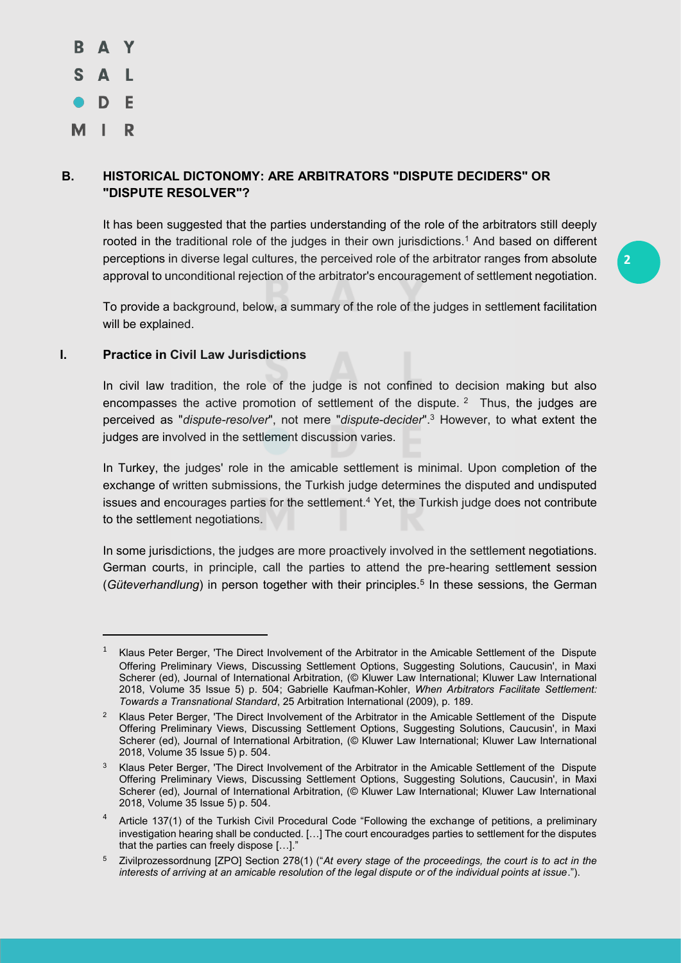S A L  $\bullet$  D E MI. R

<u>.</u>

# **B. HISTORICAL DICTONOMY: ARE ARBITRATORS "DISPUTE DECIDERS" OR "DISPUTE RESOLVER"?**

It has been suggested that the parties understanding of the role of the arbitrators still deeply rooted in the traditional role of the judges in their own jurisdictions.<sup>1</sup> And based on different perceptions in diverse legal cultures, the perceived role of the arbitrator ranges from absolute approval to unconditional rejection of the arbitrator's encouragement of settlement negotiation.

To provide a background, below, a summary of the role of the judges in settlement facilitation will be explained.

#### **I. Practice in Civil Law Jurisdictions**

In civil law tradition, the role of the judge is not confined to decision making but also encompasses the active promotion of settlement of the dispute.  $2$  Thus, the judges are perceived as "*dispute-resolver*", not mere "*dispute-decider*". <sup>3</sup> However, to what extent the judges are involved in the settlement discussion varies.

In Turkey, the judges' role in the amicable settlement is minimal. Upon completion of the exchange of written submissions, the Turkish judge determines the disputed and undisputed issues and encourages parties for the settlement.<sup>4</sup> Yet, the Turkish judge does not contribute to the settlement negotiations.

In some jurisdictions, the judges are more proactively involved in the settlement negotiations. German courts, in principle, call the parties to attend the pre-hearing settlement session (*Güteverhandlung*) in person together with their principles.5 In these sessions, the German

<sup>&</sup>lt;sup>1</sup> Klaus Peter Berger, 'The Direct Involvement of the Arbitrator in the Amicable Settlement of the Dispute Offering Preliminary Views, Discussing Settlement Options, Suggesting Solutions, Caucusin', in Maxi Scherer (ed), Journal of International Arbitration, (© Kluwer Law International; Kluwer Law International 2018, Volume 35 Issue 5) p. 504; Gabrielle Kaufman-Kohler, *When Arbitrators Facilitate Settlement: Towards a Transnational Standard*, 25 Arbitration International (2009), p. 189.

<sup>&</sup>lt;sup>2</sup> Klaus Peter Berger, 'The Direct Involvement of the Arbitrator in the Amicable Settlement of the Dispute Offering Preliminary Views, Discussing Settlement Options, Suggesting Solutions, Caucusin', in Maxi Scherer (ed), Journal of International Arbitration, (© Kluwer Law International; Kluwer Law International 2018, Volume 35 Issue 5) p. 504.

<sup>&</sup>lt;sup>3</sup> Klaus Peter Berger, 'The Direct Involvement of the Arbitrator in the Amicable Settlement of the Dispute Offering Preliminary Views, Discussing Settlement Options, Suggesting Solutions, Caucusin', in Maxi Scherer (ed), Journal of International Arbitration, (© Kluwer Law International; Kluwer Law International 2018, Volume 35 Issue 5) p. 504.

<sup>&</sup>lt;sup>4</sup> Article 137(1) of the Turkish Civil Procedural Code "Following the exchange of petitions, a preliminary investigation hearing shall be conducted. […] The court encouradges parties to settlement for the disputes that the parties can freely dispose […]."

<sup>5</sup> Zivilprozessordnung [ZPO] Section 278(1) ("*At every stage of the proceedings, the court is to act in the interests of arriving at an amicable resolution of the legal dispute or of the individual points at issue*.").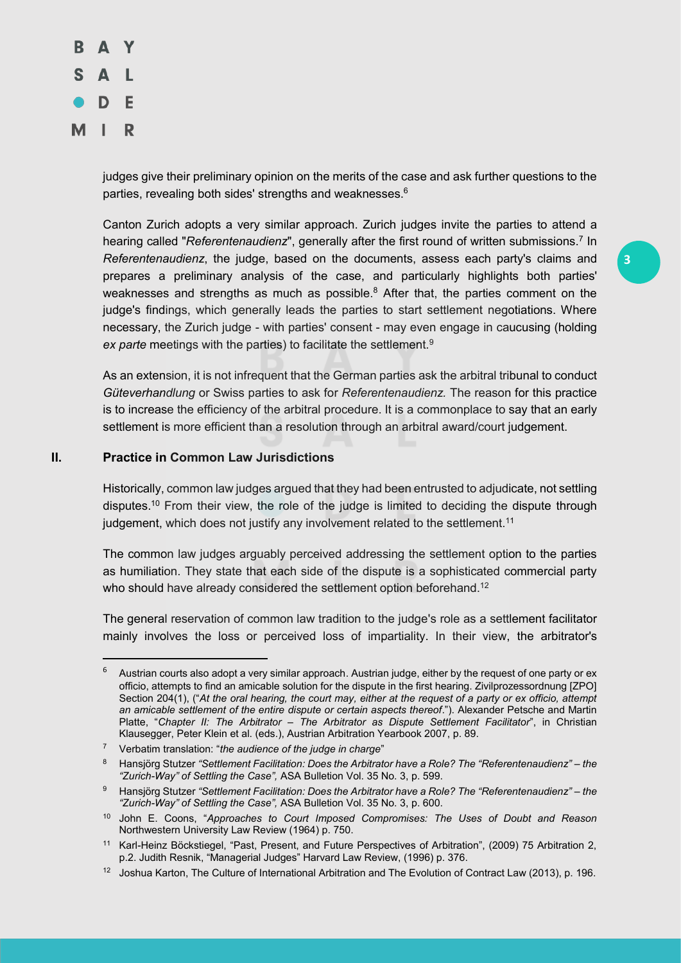

judges give their preliminary opinion on the merits of the case and ask further questions to the parties, revealing both sides' strengths and weaknesses.<sup>6</sup>

Canton Zurich adopts a very similar approach. Zurich judges invite the parties to attend a hearing called "*Referentenaudienz*", generally after the first round of written submissions.7 In *Referentenaudienz*, the judge, based on the documents, assess each party's claims and prepares a preliminary analysis of the case, and particularly highlights both parties' weaknesses and strengths as much as possible. $8$  After that, the parties comment on the judge's findings, which generally leads the parties to start settlement negotiations. Where necessary, the Zurich judge - with parties' consent - may even engage in caucusing (holding *ex parte* meetings with the parties) to facilitate the settlement.9

As an extension, it is not infrequent that the German parties ask the arbitral tribunal to conduct *Güteverhandlung* or Swiss parties to ask for *Referentenaudienz.* The reason for this practice is to increase the efficiency of the arbitral procedure. It is a commonplace to say that an early settlement is more efficient than a resolution through an arbitral award/court judgement.

# **II. Practice in Common Law Jurisdictions**

Historically, common law judges argued that they had been entrusted to adjudicate, not settling disputes.<sup>10</sup> From their view, the role of the judge is limited to deciding the dispute through judgement, which does not justify any involvement related to the settlement.<sup>11</sup>

The common law judges arguably perceived addressing the settlement option to the parties as humiliation. They state that each side of the dispute is a sophisticated commercial party who should have already considered the settlement option beforehand.<sup>12</sup>

The general reservation of common law tradition to the judge's role as a settlement facilitator mainly involves the loss or perceived loss of impartiality. In their view, the arbitrator's

 <sup>6</sup> Austrian courts also adopt a very similar approach. Austrian judge, either by the request of one party or ex officio, attempts to find an amicable solution for the dispute in the first hearing. Zivilprozessordnung [ZPO] Section 204(1), ("At the oral hearing, the court may, either at the request of a party or ex officio, attempt *an amicable settlement of the entire dispute or certain aspects thereof*."). Alexander Petsche and Martin Platte, "*Chapter II: The Arbitrator – The Arbitrator as Dispute Settlement Facilitator*", in Christian Klausegger, Peter Klein et al. (eds.), Austrian Arbitration Yearbook 2007, p. 89.

<sup>7</sup> Verbatim translation: "*the audience of the judge in charge*"

<sup>8</sup> Hansjörg Stutzer *"Settlement Facilitation: Does the Arbitrator have a Role? The "Referentenaudienz" – the "Zurich-Way" of Settling the Case",* ASA Bulletion Vol. 35 No. 3, p. 599.

<sup>9</sup> Hansjörg Stutzer *"Settlement Facilitation: Does the Arbitrator have a Role? The "Referentenaudienz" – the "Zurich-Way" of Settling the Case",* ASA Bulletion Vol. 35 No. 3, p. 600.

<sup>10</sup> John E. Coons, "*Approaches to Court Imposed Compromises: The Uses of Doubt and Reason* Northwestern University Law Review (1964) p. 750.

<sup>11</sup> Karl-Heinz Böckstiegel, "Past, Present, and Future Perspectives of Arbitration", (2009) 75 Arbitration 2, p.2. Judith Resnik, "Managerial Judges" Harvard Law Review, (1996) p. 376.

<sup>12</sup> Joshua Karton, The Culture of International Arbitration and The Evolution of Contract Law (2013), p. 196.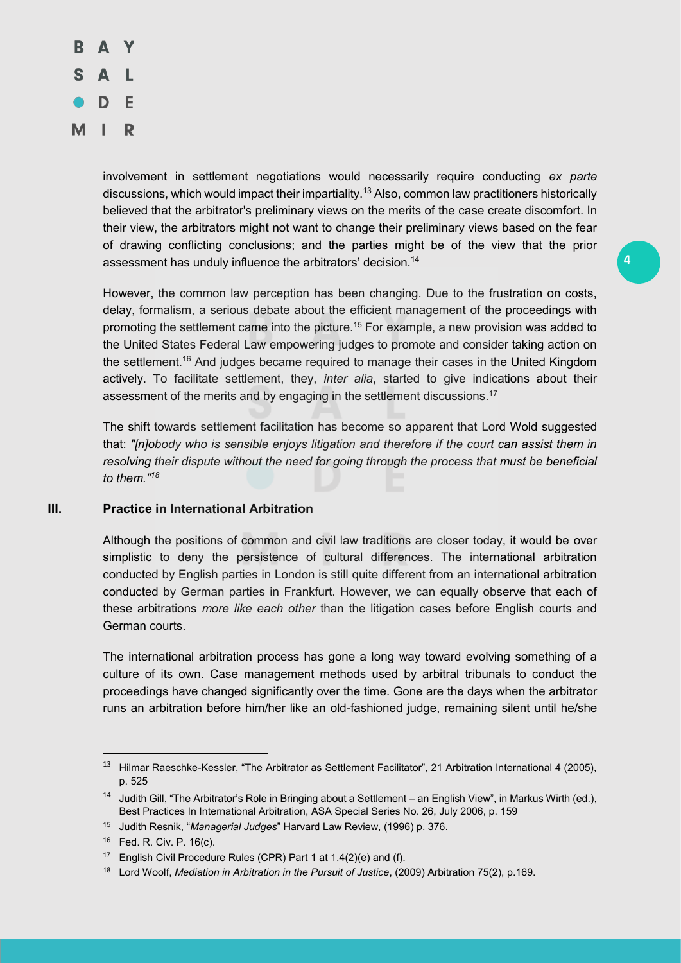

involvement in settlement negotiations would necessarily require conducting *ex parte*  discussions, which would impact their impartiality.13 Also, common law practitioners historically believed that the arbitrator's preliminary views on the merits of the case create discomfort. In their view, the arbitrators might not want to change their preliminary views based on the fear of drawing conflicting conclusions; and the parties might be of the view that the prior assessment has unduly influence the arbitrators' decision.14

**4**

However, the common law perception has been changing. Due to the frustration on costs, delay, formalism, a serious debate about the efficient management of the proceedings with promoting the settlement came into the picture.<sup>15</sup> For example, a new provision was added to the United States Federal Law empowering judges to promote and consider taking action on the settlement.16 And judges became required to manage their cases in the United Kingdom actively. To facilitate settlement, they, *inter alia*, started to give indications about their assessment of the merits and by engaging in the settlement discussions.<sup>17</sup>

The shift towards settlement facilitation has become so apparent that Lord Wold suggested that: *"[n]obody who is sensible enjoys litigation and therefore if the court can assist them in resolving their dispute without the need for going through the process that must be beneficial to them." 18*

# **III. Practice in International Arbitration**

Although the positions of common and civil law traditions are closer today, it would be over simplistic to deny the persistence of cultural differences. The international arbitration conducted by English parties in London is still quite different from an international arbitration conducted by German parties in Frankfurt. However, we can equally observe that each of these arbitrations *more like each other* than the litigation cases before English courts and German courts.

The international arbitration process has gone a long way toward evolving something of a culture of its own. Case management methods used by arbitral tribunals to conduct the proceedings have changed significantly over the time. Gone are the days when the arbitrator runs an arbitration before him/her like an old-fashioned judge, remaining silent until he/she

 <sup>13</sup> Hilmar Raeschke-Kessler, "The Arbitrator as Settlement Facilitator", 21 Arbitration International 4 (2005), p. 525

<sup>14</sup> Judith Gill, "The Arbitrator's Role in Bringing about a Settlement – an English View", in Markus Wirth (ed.), Best Practices In International Arbitration, ASA Special Series No. 26, July 2006, p. 159

<sup>15</sup> Judith Resnik, "*Managerial Judges*" Harvard Law Review, (1996) p. 376.

<sup>16</sup> Fed. R. Civ. P. 16(c).

<sup>&</sup>lt;sup>17</sup> English Civil Procedure Rules (CPR) Part 1 at 1.4(2)(e) and (f).

<sup>18</sup> Lord Woolf, *Mediation in Arbitration in the Pursuit of Justice*, (2009) Arbitration 75(2), p.169.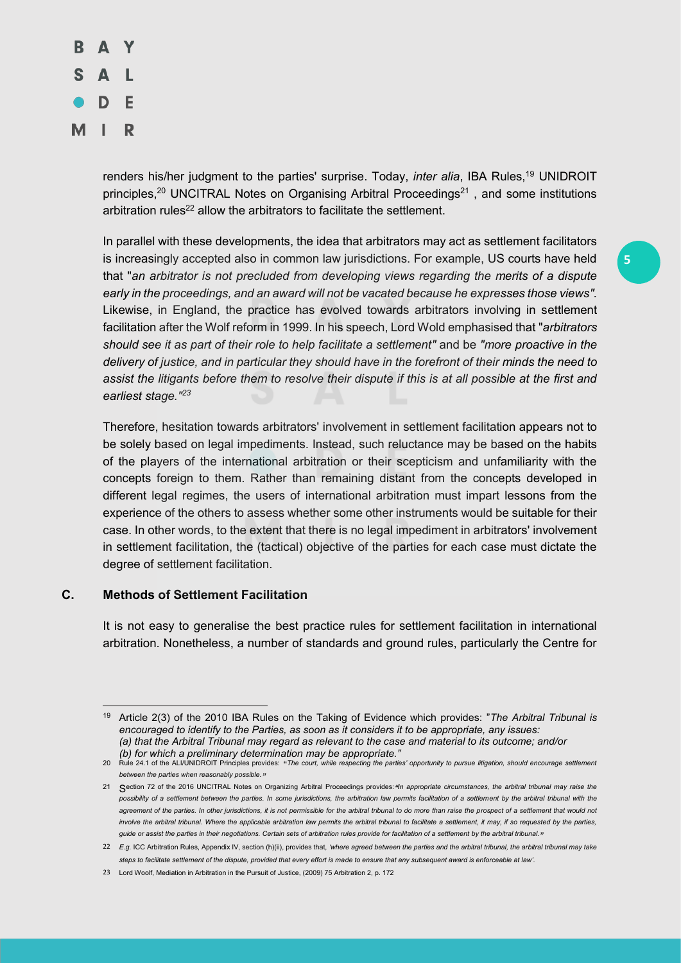

renders his/her judgment to the parties' surprise. Today, *inter alia*, IBA Rules,19 UNIDROIT principles,<sup>20</sup> UNCITRAL Notes on Organising Arbitral Proceedings<sup>21</sup>, and some institutions arbitration rules<sup>22</sup> allow the arbitrators to facilitate the settlement.

In parallel with these developments, the idea that arbitrators may act as settlement facilitators is increasingly accepted also in common law jurisdictions. For example, US courts have held that "*an arbitrator is not precluded from developing views regarding the merits of a dispute early in the proceedings, and an award will not be vacated because he expresses those views".* Likewise, in England, the practice has evolved towards arbitrators involving in settlement facilitation after the Wolf reform in 1999. In his speech, Lord Wold emphasised that "*arbitrators should see it as part of their role to help facilitate a settlement"* and be *"more proactive in the delivery of justice, and in particular they should have in the forefront of their minds the need to assist the litigants before them to resolve their dispute if this is at all possible at the first and earliest stage." 23*

Therefore, hesitation towards arbitrators' involvement in settlement facilitation appears not to be solely based on legal impediments. Instead, such reluctance may be based on the habits of the players of the international arbitration or their scepticism and unfamiliarity with the concepts foreign to them. Rather than remaining distant from the concepts developed in different legal regimes, the users of international arbitration must impart lessons from the experience of the others to assess whether some other instruments would be suitable for their case. In other words, to the extent that there is no legal impediment in arbitrators' involvement in settlement facilitation, the (tactical) objective of the parties for each case must dictate the degree of settlement facilitation.

# **C. Methods of Settlement Facilitation**

It is not easy to generalise the best practice rules for settlement facilitation in international arbitration. Nonetheless, a number of standards and ground rules, particularly the Centre for

<sup>&</sup>lt;u>.</u> <sup>19</sup> Article 2(3) of the 2010 IBA Rules on the Taking of Evidence which provides: "*The Arbitral Tribunal is encouraged to identify to the Parties, as soon as it considers it to be appropriate, any issues: (a) that the Arbitral Tribunal may regard as relevant to the case and material to its outcome; and/or (b) for which a preliminary determination may be appropriate."*

<sup>20</sup> Rule 24.1 of the ALI/UNIDROIT Principles provides: "*The court, while respecting the parties' opportunity to pursue litigation, should encourage settlement between the parties when reasonably possible."*

<sup>21</sup> Section 72 of the 2016 UNCITRAL Notes on Organizing Arbitral Proceedings provides:*" In appropriate circumstances, the arbitral tribunal may raise the*  possibility of a settlement between the parties. In some jurisdictions, the arbitration law permits facilitation of a settlement by the arbitral tribunal with the agreement of the parties. In other jurisdictions, it is not permissible for the arbitral tribunal to do more than raise the prospect of a settlement that would not *involve the arbitral tribunal. Where the applicable arbitration law permits the arbitral tribunal to facilitate a settlement, it may, if so requested by the parties, guide or assist the parties in their negotiations. Certain sets of arbitration rules provide for facilitation of a settlement by the arbitral tribunal."*

<sup>22</sup> *E.g.* ICC Arbitration Rules, Appendix IV, section (h)(ii), provides that, *'where agreed between the parties and the arbitral tribunal, the arbitral tribunal may take steps to facilitate settlement of the dispute, provided that every effort is made to ensure that any subsequent award is enforceable at law'.*

<sup>23</sup> Lord Woolf, Mediation in Arbitration in the Pursuit of Justice, (2009) 75 Arbitration 2, p. 172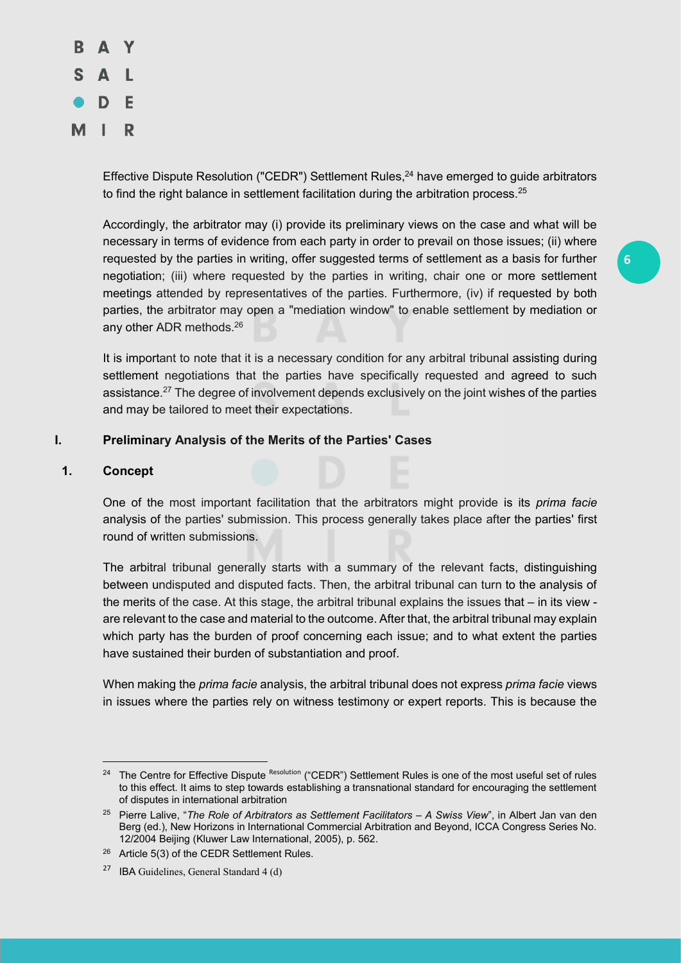

Effective Dispute Resolution ("CEDR") Settlement Rules,<sup>24</sup> have emerged to guide arbitrators to find the right balance in settlement facilitation during the arbitration process.<sup>25</sup>

Accordingly, the arbitrator may (i) provide its preliminary views on the case and what will be necessary in terms of evidence from each party in order to prevail on those issues; (ii) where requested by the parties in writing, offer suggested terms of settlement as a basis for further negotiation; (iii) where requested by the parties in writing, chair one or more settlement meetings attended by representatives of the parties. Furthermore, (iv) if requested by both parties, the arbitrator may open a "mediation window" to enable settlement by mediation or any other ADR methods.26

It is important to note that it is a necessary condition for any arbitral tribunal assisting during settlement negotiations that the parties have specifically requested and agreed to such assistance.<sup>27</sup> The degree of involvement depends exclusively on the joint wishes of the parties and may be tailored to meet their expectations.

# **I. Preliminary Analysis of the Merits of the Parties' Cases**

#### **1. Concept**

<u>.</u>

One of the most important facilitation that the arbitrators might provide is its *prima facie* analysis of the parties' submission. This process generally takes place after the parties' first round of written submissions.

The arbitral tribunal generally starts with a summary of the relevant facts, distinguishing between undisputed and disputed facts. Then, the arbitral tribunal can turn to the analysis of the merits of the case. At this stage, the arbitral tribunal explains the issues that – in its view are relevant to the case and material to the outcome. After that, the arbitral tribunal may explain which party has the burden of proof concerning each issue; and to what extent the parties have sustained their burden of substantiation and proof.

When making the *prima facie* analysis, the arbitral tribunal does not express *prima facie* views in issues where the parties rely on witness testimony or expert reports. This is because the

<sup>&</sup>lt;sup>24</sup> The Centre for Effective Dispute Resolution ("CEDR") Settlement Rules is one of the most useful set of rules to this effect. It aims to step towards establishing a transnational standard for encouraging the settlement of disputes in international arbitration

<sup>&</sup>lt;sup>25</sup> Pierre Lalive, "The Role of Arbitrators as Settlement Facilitators - A Swiss View", in Albert Jan van den Berg (ed.), New Horizons in International Commercial Arbitration and Beyond, ICCA Congress Series No. 12/2004 Beijing (Kluwer Law International, 2005), p. 562.

<sup>&</sup>lt;sup>26</sup> Article 5(3) of the CEDR Settlement Rules.

<sup>27</sup> IBA Guidelines, General Standard 4 (d)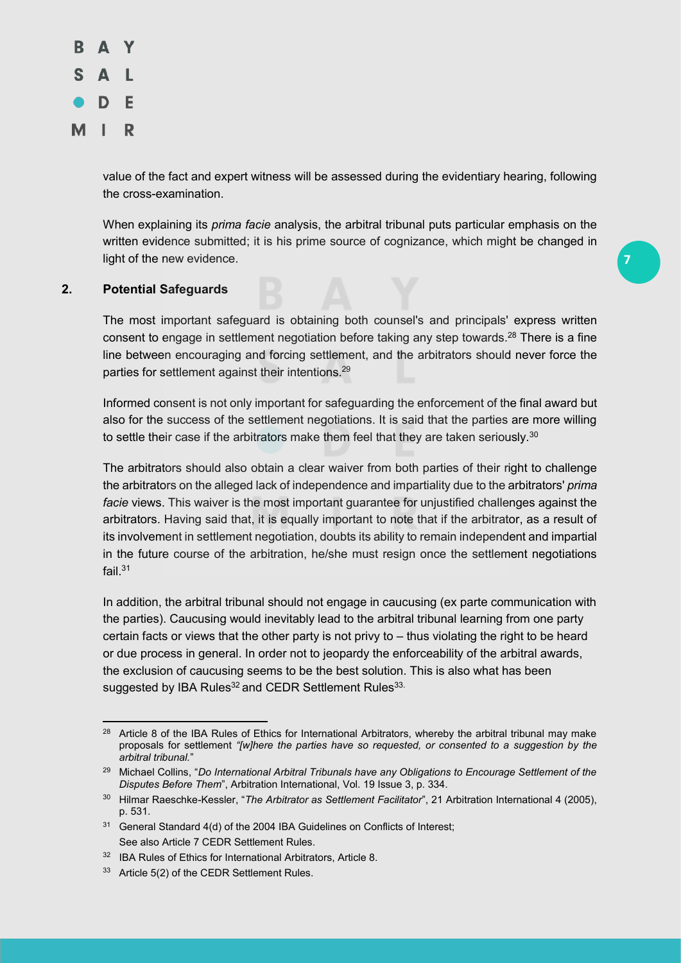

value of the fact and expert witness will be assessed during the evidentiary hearing, following the cross-examination.

When explaining its *prima facie* analysis, the arbitral tribunal puts particular emphasis on the written evidence submitted; it is his prime source of cognizance, which might be changed in light of the new evidence.

**7**

# **2. Potential Safeguards**

<u>.</u>

The most important safeguard is obtaining both counsel's and principals' express written consent to engage in settlement negotiation before taking any step towards.<sup>28</sup> There is a fine line between encouraging and forcing settlement, and the arbitrators should never force the parties for settlement against their intentions.<sup>29</sup>

Informed consent is not only important for safeguarding the enforcement of the final award but also for the success of the settlement negotiations. It is said that the parties are more willing to settle their case if the arbitrators make them feel that they are taken seriously.<sup>30</sup>

The arbitrators should also obtain a clear waiver from both parties of their right to challenge the arbitrators on the alleged lack of independence and impartiality due to the arbitrators' *prima facie* views. This waiver is the most important guarantee for unjustified challenges against the arbitrators. Having said that, it is equally important to note that if the arbitrator, as a result of its involvement in settlement negotiation, doubts its ability to remain independent and impartial in the future course of the arbitration, he/she must resign once the settlement negotiations fail.31

In addition, the arbitral tribunal should not engage in caucusing (ex parte communication with the parties). Caucusing would inevitably lead to the arbitral tribunal learning from one party certain facts or views that the other party is not privy to – thus violating the right to be heard or due process in general. In order not to jeopardy the enforceability of the arbitral awards, the exclusion of caucusing seems to be the best solution. This is also what has been suggested by IBA Rules<sup>32</sup> and CEDR Settlement Rules<sup>33.</sup>

<sup>&</sup>lt;sup>28</sup> Article 8 of the IBA Rules of Ethics for International Arbitrators, whereby the arbitral tribunal may make proposals for settlement *"[w]here the parties have so requested, or consented to a suggestion by the arbitral tribunal.*"

<sup>29</sup> Michael Collins, "*Do International Arbitral Tribunals have any Obligations to Encourage Settlement of the Disputes Before Them*", Arbitration International, Vol. 19 Issue 3, p. 334.

<sup>30</sup> Hilmar Raeschke-Kessler, "*The Arbitrator as Settlement Facilitator*", 21 Arbitration International 4 (2005), p. 531.

<sup>&</sup>lt;sup>31</sup> General Standard 4(d) of the 2004 IBA Guidelines on Conflicts of Interest; See also Article 7 CEDR Settlement Rules.

<sup>32</sup> IBA Rules of Ethics for International Arbitrators, Article 8.

<sup>33</sup> Article 5(2) of the CEDR Settlement Rules.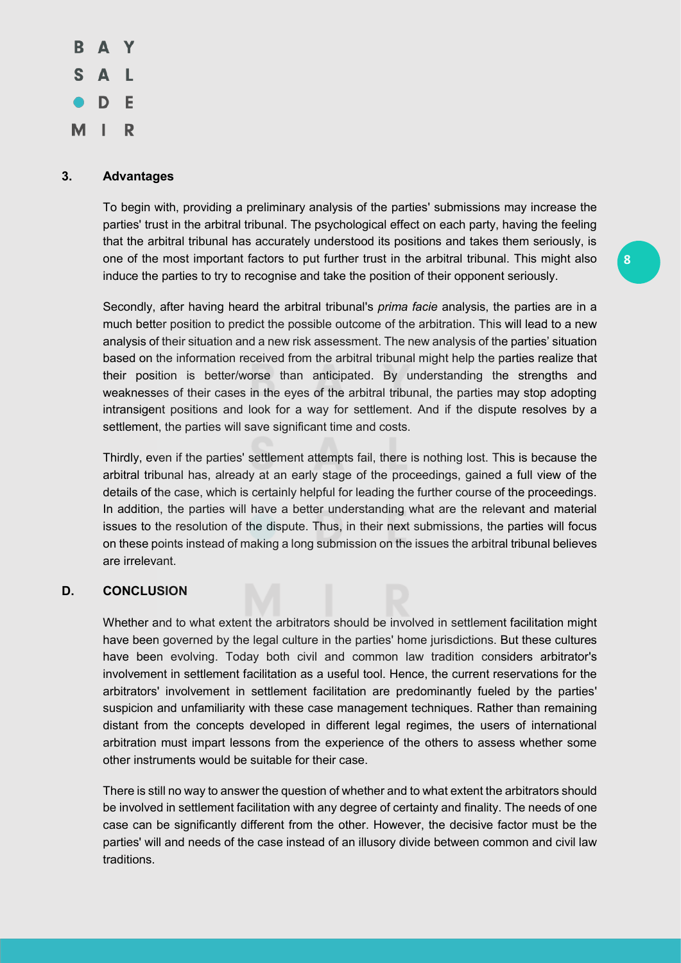

# **3. Advantages**

To begin with, providing a preliminary analysis of the parties' submissions may increase the parties' trust in the arbitral tribunal. The psychological effect on each party, having the feeling that the arbitral tribunal has accurately understood its positions and takes them seriously, is one of the most important factors to put further trust in the arbitral tribunal. This might also induce the parties to try to recognise and take the position of their opponent seriously.

Secondly, after having heard the arbitral tribunal's *prima facie* analysis, the parties are in a much better position to predict the possible outcome of the arbitration. This will lead to a new analysis of their situation and a new risk assessment. The new analysis of the parties' situation based on the information received from the arbitral tribunal might help the parties realize that their position is better/worse than anticipated. By understanding the strengths and weaknesses of their cases in the eyes of the arbitral tribunal, the parties may stop adopting intransigent positions and look for a way for settlement. And if the dispute resolves by a settlement, the parties will save significant time and costs.

Thirdly, even if the parties' settlement attempts fail, there is nothing lost. This is because the arbitral tribunal has, already at an early stage of the proceedings, gained a full view of the details of the case, which is certainly helpful for leading the further course of the proceedings. In addition, the parties will have a better understanding what are the relevant and material issues to the resolution of the dispute. Thus, in their next submissions, the parties will focus on these points instead of making a long submission on the issues the arbitral tribunal believes are irrelevant.

# **D. CONCLUSION**

Whether and to what extent the arbitrators should be involved in settlement facilitation might have been governed by the legal culture in the parties' home jurisdictions. But these cultures have been evolving. Today both civil and common law tradition considers arbitrator's involvement in settlement facilitation as a useful tool. Hence, the current reservations for the arbitrators' involvement in settlement facilitation are predominantly fueled by the parties' suspicion and unfamiliarity with these case management techniques. Rather than remaining distant from the concepts developed in different legal regimes, the users of international arbitration must impart lessons from the experience of the others to assess whether some other instruments would be suitable for their case.

There is still no way to answer the question of whether and to what extent the arbitrators should be involved in settlement facilitation with any degree of certainty and finality. The needs of one case can be significantly different from the other. However, the decisive factor must be the parties' will and needs of the case instead of an illusory divide between common and civil law traditions.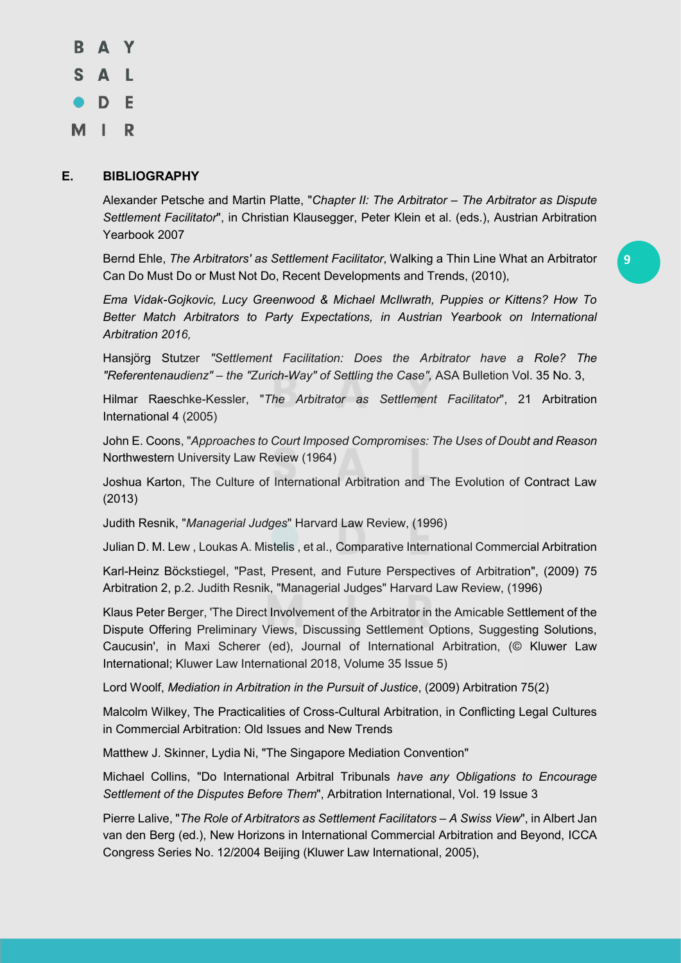B A Y S A L  $\bullet$  D E MIR

# **E. BIBLIOGRAPHY**

Alexander Petsche and Martin Platte, "*Chapter II: The Arbitrator – The Arbitrator as Dispute Settlement Facilitator*", in Christian Klausegger, Peter Klein et al. (eds.), Austrian Arbitration Yearbook 2007

Bernd Ehle, *The Arbitrators' as Settlement Facilitator*, Walking a Thin Line What an Arbitrator Can Do Must Do or Must Not Do, Recent Developments and Trends, (2010),

*Ema Vidak-Gojkovic, Lucy Greenwood & Michael McIlwrath, Puppies or Kittens? How To Better Match Arbitrators to Party Expectations, in Austrian Yearbook on International Arbitration 2016,*

Hansjörg Stutzer *"Settlement Facilitation: Does the Arbitrator have a Role? The "Referentenaudienz" – the "Zurich-Way" of Settling the Case",* ASA Bulletion Vol. 35 No. 3,

Hilmar Raeschke-Kessler, "*The Arbitrator as Settlement Facilitator*", 21 Arbitration International 4 (2005)

John E. Coons, "*Approaches to Court Imposed Compromises: The Uses of Doubt and Reason* Northwestern University Law Review (1964)

Joshua Karton, The Culture of International Arbitration and The Evolution of Contract Law (2013)

Judith Resnik, "*Managerial Judges*" Harvard Law Review, (1996)

Julian D. M. Lew , Loukas A. Mistelis , et al., Comparative International Commercial Arbitration

Karl-Heinz Böckstiegel, "Past, Present, and Future Perspectives of Arbitration", (2009) 75 Arbitration 2, p.2. Judith Resnik, "Managerial Judges" Harvard Law Review, (1996)

Klaus Peter Berger, 'The Direct Involvement of the Arbitrator in the Amicable Settlement of the Dispute Offering Preliminary Views, Discussing Settlement Options, Suggesting Solutions, Caucusin', in Maxi Scherer (ed), Journal of International Arbitration, (© Kluwer Law International; Kluwer Law International 2018, Volume 35 Issue 5)

Lord Woolf, *Mediation in Arbitration in the Pursuit of Justice*, (2009) Arbitration 75(2)

Malcolm Wilkey, The Practicalities of Cross-Cultural Arbitration, in Conflicting Legal Cultures in Commercial Arbitration: Old Issues and New Trends

Matthew J. Skinner, Lydia Ni, "The Singapore Mediation Convention"

Michael Collins, "Do International Arbitral Tribunals *have any Obligations to Encourage Settlement of the Disputes Before Them*", Arbitration International, Vol. 19 Issue 3

Pierre Lalive, "*The Role of Arbitrators as Settlement Facilitators – A Swiss View*", in Albert Jan van den Berg (ed.), New Horizons in International Commercial Arbitration and Beyond, ICCA Congress Series No. 12/2004 Beijing (Kluwer Law International, 2005),